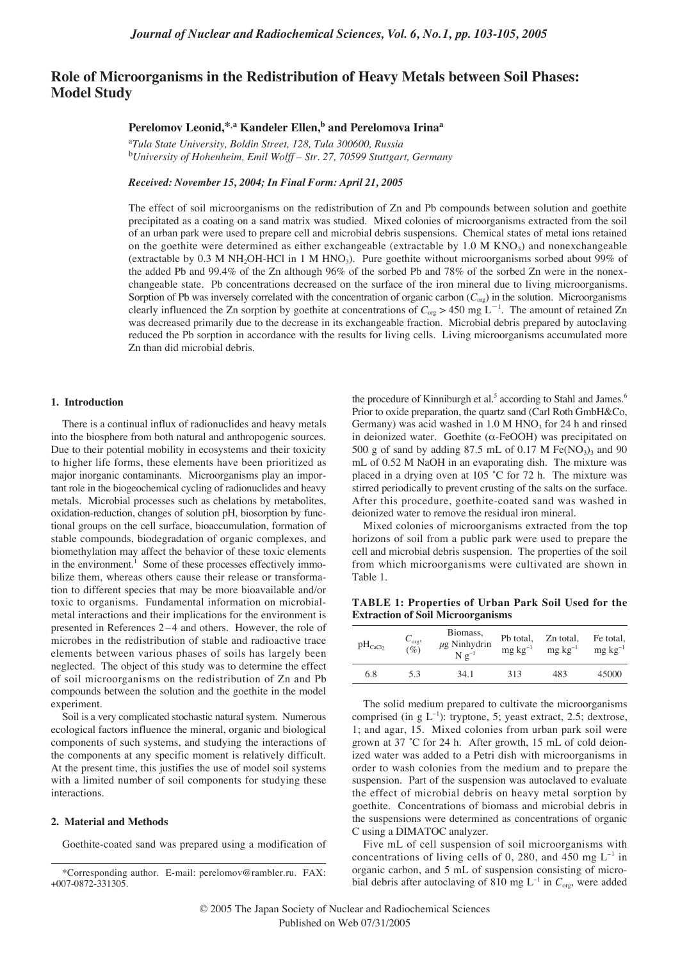# **Role of Microorganisms in the Redistribution of Heavy Metals between Soil Phases: Model Study**

## Perelomov Leonid,<sup>\*,a</sup> Kandeler Ellen,<sup>b</sup> and Perelomova Irina<sup>a</sup>

a *Tula State University, Boldin Street, 128, Tula 300600, Russia*  b *University of Hohenheim, Emil Wolff – Str. 27, 70599 Stuttgart, Germany*

*Received: November 15, 2004; In Final Form: April 21, 2005*

The effect of soil microorganisms on the redistribution of Zn and Pb compounds between solution and goethite precipitated as a coating on a sand matrix was studied. Mixed colonies of microorganisms extracted from the soil of an urban park were used to prepare cell and microbial debris suspensions. Chemical states of metal ions retained on the goethite were determined as either exchangeable (extractable by 1.0 M  $KNO<sub>3</sub>$ ) and nonexchangeable (extractable by 0.3 M NH<sub>2</sub>OH-HCl in 1 M HNO<sub>3</sub>). Pure goethite without microorganisms sorbed about 99% of the added Pb and 99.4% of the Zn although 96% of the sorbed Pb and 78% of the sorbed Zn were in the nonexchangeable state. Pb concentrations decreased on the surface of the iron mineral due to living microorganisms. Sorption of Pb was inversely correlated with the concentration of organic carbon  $(C_{\alpha\beta})$  in the solution. Microorganisms clearly influenced the Zn sorption by goethite at concentrations of  $C_{org} > 450$  mg  $L^{-1}$ . The amount of retained Zn was decreased primarily due to the decrease in its exchangeable fraction. Microbial debris prepared by autoclaving reduced the Pb sorption in accordance with the results for living cells. Living microorganisms accumulated more Zn than did microbial debris.

### **1. Introduction**

There is a continual influx of radionuclides and heavy metals into the biosphere from both natural and anthropogenic sources. Due to their potential mobility in ecosystems and their toxicity to higher life forms, these elements have been prioritized as major inorganic contaminants. Microorganisms play an important role in the biogeochemical cycling of radionuclides and heavy metals. Microbial processes such as chelations by metabolites, oxidation-reduction, changes of solution pH, biosorption by functional groups on the cell surface, bioaccumulation, formation of stable compounds, biodegradation of organic complexes, and biomethylation may affect the behavior of these toxic elements in the environment.<sup>1</sup> Some of these processes effectively immobilize them, whereas others cause their release or transformation to different species that may be more bioavailable and/or toxic to organisms. Fundamental information on microbialmetal interactions and their implications for the environment is presented in References 2 – 4 and others. However, the role of microbes in the redistribution of stable and radioactive trace elements between various phases of soils has largely been neglected. The object of this study was to determine the effect of soil microorganisms on the redistribution of Zn and Pb compounds between the solution and the goethite in the model experiment.

Soil is a very complicated stochastic natural system. Numerous ecological factors influence the mineral, organic and biological components of such systems, and studying the interactions of the components at any specific moment is relatively difficult. At the present time, this justifies the use of model soil systems with a limited number of soil components for studying these interactions.

#### **2. Material and Methods**

Goethite-coated sand was prepared using a modification of

the procedure of Kinniburgh et al.<sup>5</sup> according to Stahl and James.<sup>6</sup> Prior to oxide preparation, the quartz sand (Carl Roth GmbH&Co, Germany) was acid washed in  $1.0 M HNO<sub>3</sub>$  for 24 h and rinsed in deionized water. Goethite (α-FeOOH) was precipitated on 500 g of sand by adding 87.5 mL of 0.17 M  $Fe(NO<sub>3</sub>)<sub>3</sub>$  and 90 mL of 0.52 M NaOH in an evaporating dish. The mixture was placed in a drying oven at  $105\textdegree C$  for 72 h. The mixture was stirred periodically to prevent crusting of the salts on the surface. After this procedure, goethite-coated sand was washed in deionized water to remove the residual iron mineral.

Mixed colonies of microorganisms extracted from the top horizons of soil from a public park were used to prepare the cell and microbial debris suspension. The properties of the soil from which microorganisms were cultivated are shown in Table 1.

**TABLE 1: Properties of Urban Park Soil Used for the Extraction of Soil Microorganisms**

| $pH_{CaCl2}$ | $\cup_{org}$<br>$(\%)$ | Biomass,<br>$\mu$ g Ninhydrin<br>$N \sigma^{-1}$ | Pb total,<br>$mg \text{ kg}^{-1}$ | Zn total,<br>$mg \, kg^{-1}$ | Fe total,<br>$mg \, kg^{-1}$ |
|--------------|------------------------|--------------------------------------------------|-----------------------------------|------------------------------|------------------------------|
| 6.8          | 5.3                    | 34.1                                             | 313                               | 483                          | 45000                        |

The solid medium prepared to cultivate the microorganisms comprised (in g L<sup>−</sup><sup>1</sup> ): tryptone, 5; yeast extract, 2.5; dextrose, 1; and agar, 15. Mixed colonies from urban park soil were grown at 37 ˚C for 24 h. After growth, 15 mL of cold deionized water was added to a Petri dish with microorganisms in order to wash colonies from the medium and to prepare the suspension. Part of the suspension was autoclaved to evaluate the effect of microbial debris on heavy metal sorption by goethite. Concentrations of biomass and microbial debris in the suspensions were determined as concentrations of organic C using a DIMATOC analyzer.

Five mL of cell suspension of soil microorganisms with concentrations of living cells of 0, 280, and 450 mg  $L^{-1}$  in organic carbon, and 5 mL of suspension consisting of microbial debris after autoclaving of 810 mg L<sup>−</sup><sup>1</sup> in *C*org, were added

<sup>\*</sup>Corresponding author. E-mail: perelomov@rambler.ru. FAX: +007-0872-331305.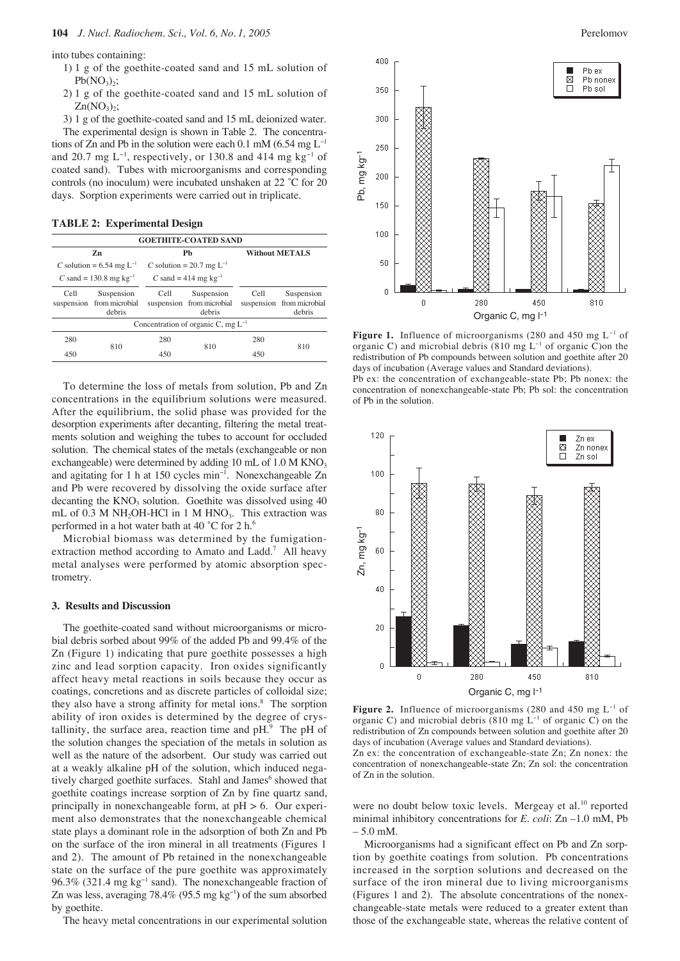into tubes containing:

- 1) 1 g of the goethite-coated sand and 15 mL solution of  $Pb(NO_3)$ <sub>2</sub>:
- 2) 1 g of the goethite-coated sand and 15 mL solution of  $Zn(NO<sub>3</sub>)<sub>2</sub>;$
- 3) 1 g of the goethite-coated sand and 15 mL deionized water.

The experimental design is shown in Table 2. The concentrations of Zn and Pb in the solution were each 0.1 mM (6.54 mg  $L^{-1}$ ) and 20.7 mg  $L^{-1}$ , respectively, or 130.8 and 414 mg kg<sup>-1</sup> of coated sand). Tubes with microorganisms and corresponding controls (no inoculum) were incubated unshaken at 22 ˚C for 20 days. Sorption experiments were carried out in triplicate.

**TABLE 2: Experimental Design** 

| <b>GOETHITE-COATED SAND</b>             |                                                   |                               |                                                   |                       |                                                   |  |  |  |  |  |
|-----------------------------------------|---------------------------------------------------|-------------------------------|---------------------------------------------------|-----------------------|---------------------------------------------------|--|--|--|--|--|
| Zn                                      |                                                   | Pb                            |                                                   | <b>Without METALS</b> |                                                   |  |  |  |  |  |
| C solution = $6.54$ mg L <sup>-1</sup>  |                                                   | C solution = 20.7 mg $L^{-1}$ |                                                   |                       |                                                   |  |  |  |  |  |
| C sand = 130.8 mg $kg^{-1}$             |                                                   | C sand = 414 mg $kg^{-1}$     |                                                   |                       |                                                   |  |  |  |  |  |
| Cell                                    | Suspension<br>suspension from microbial<br>debris | Cell                          | Suspension<br>suspension from microbial<br>debris | Cell                  | Suspension<br>suspension from microbial<br>debris |  |  |  |  |  |
| Concentration of organic C, mg $L^{-1}$ |                                                   |                               |                                                   |                       |                                                   |  |  |  |  |  |
| 280                                     | 810                                               | 280                           | 810                                               | 280                   | 810                                               |  |  |  |  |  |
| 450                                     |                                                   | 450                           |                                                   | 450                   |                                                   |  |  |  |  |  |

To determine the loss of metals from solution, Pb and Zn concentrations in the equilibrium solutions were measured. After the equilibrium, the solid phase was provided for the desorption experiments after decanting, filtering the metal treatments solution and weighing the tubes to account for occluded solution. The chemical states of the metals (exchangeable or non exchangeable) were determined by adding  $10 \text{ mL of } 1.0 \text{ M KNO}_3$ and agitating for 1 h at 150 cycles min<sup>−</sup><sup>1</sup> . Nonexchangeable Zn and Pb were recovered by dissolving the oxide surface after decanting the  $KNO_3$  solution. Goethite was dissolved using  $40$ mL of  $0.3$  M NH<sub>2</sub>OH-HCl in 1 M HNO<sub>3</sub>. This extraction was performed in a hot water bath at 40  $^{\circ}$ C for 2 h.<sup>6</sup>

Microbial biomass was determined by the fumigationextraction method according to Amato and Ladd.<sup>7</sup> All heavy metal analyses were performed by atomic absorption spectrometry.

#### **3. Results and Discussion**

The goethite-coated sand without microorganisms or microbial debris sorbed about 99% of the added Pb and 99.4% of the Zn (Figure 1) indicating that pure goethite possesses a high zinc and lead sorption capacity. Iron oxides significantly affect heavy metal reactions in soils because they occur as coatings, concretions and as discrete particles of colloidal size; they also have a strong affinity for metal ions. $8$  The sorption ability of iron oxides is determined by the degree of crystallinity, the surface area, reaction time and  $pH<sup>9</sup>$ . The pH of the solution changes the speciation of the metals in solution as well as the nature of the adsorbent. Our study was carried out at a weakly alkaline pH of the solution, which induced negatively charged goethite surfaces. Stahl and James<sup>6</sup> showed that goethite coatings increase sorption of Zn by fine quartz sand, principally in nonexchangeable form, at pH > 6. Our experiment also demonstrates that the nonexchangeable chemical state plays a dominant role in the adsorption of both Zn and Pb on the surface of the iron mineral in all treatments (Figures 1 and 2). The amount of Pb retained in the nonexchangeable state on the surface of the pure goethite was approximately 96.3% (321.4 mg kg<sup>-1</sup> sand). The nonexchangeable fraction of Zn was less, averaging 78.4% (95.5 mg kg<sup>−</sup><sup>1</sup> **)** of the sum absorbed by goethite.

The heavy metal concentrations in our experimental solution



**Figure 1.** Influence of microorganisms (280 and 450 mg L<sup>−</sup><sup>1</sup> of organic C) and microbial debris (810 mg L<sup>−</sup><sup>1</sup> of organic C)on the redistribution of Pb compounds between solution and goethite after 20 days of incubation (Average values and Standard deviations).

Pb ex: the concentration of exchangeable-state Pb; Pb nonex: the concentration of nonexchangeable-state Pb; Pb sol: the concentration of Pb in the solution.



**Figure 2.** Influence of microorganisms (280 and 450 mg L<sup>−</sup><sup>1</sup> of organic C) and microbial debris (810 mg L<sup>−</sup><sup>1</sup> of organic C) on the redistribution of Zn compounds between solution and goethite after 20 days of incubation (Average values and Standard deviations).

Zn ex: the concentration of exchangeable-state Zn; Zn nonex: the concentration of nonexchangeable-state Zn; Zn sol: the concentration of Zn in the solution.

were no doubt below toxic levels. Mergeay et al.<sup>10</sup> reported minimal inhibitory concentrations for *E. coli*: Zn –1.0 mM, Pb  $-5.0$  mM.

Microorganisms had a significant effect on Pb and Zn sorption by goethite coatings from solution. Pb concentrations increased in the sorption solutions and decreased on the surface of the iron mineral due to living microorganisms (Figures 1 and 2). The absolute concentrations of the nonexchangeable-state metals were reduced to a greater extent than those of the exchangeable state, whereas the relative content of